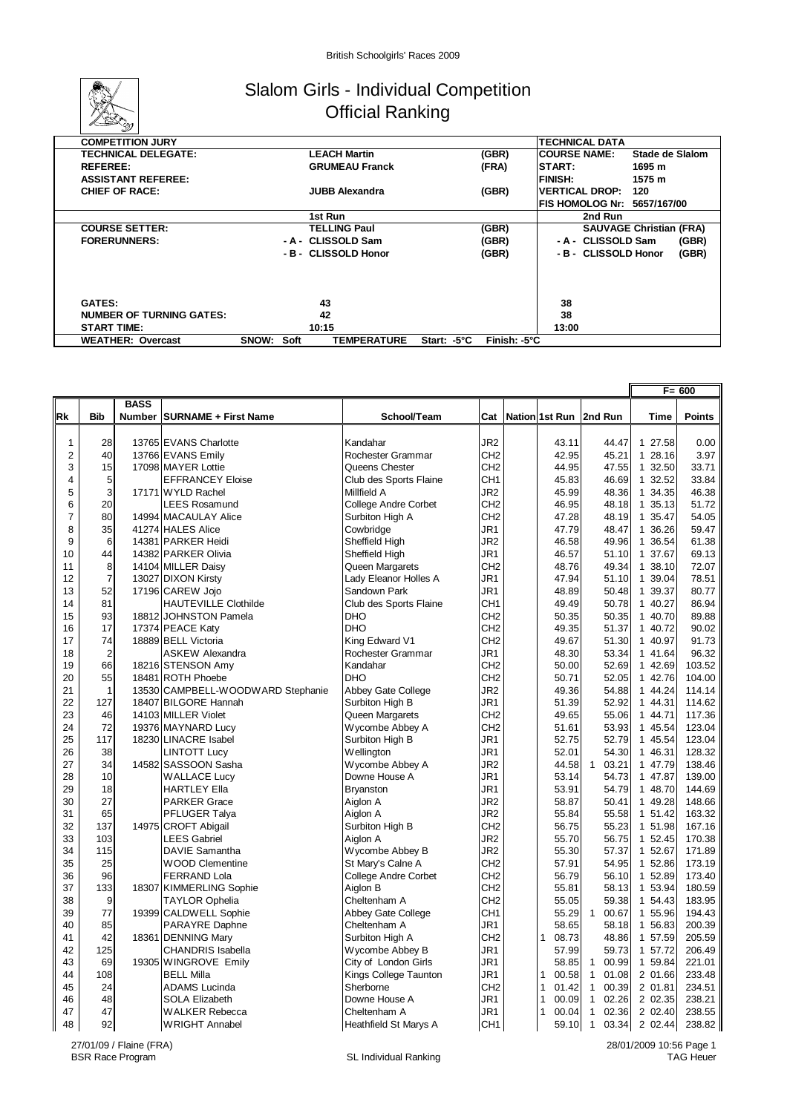

## Slalom Girls - Individual Competition Official Ranking

| <b>COMPETITION JURY</b>         |                      |                       |             |              | <b>TECHNICAL DATA</b> |                                |                 |       |
|---------------------------------|----------------------|-----------------------|-------------|--------------|-----------------------|--------------------------------|-----------------|-------|
| <b>TECHNICAL DELEGATE:</b>      |                      | <b>LEACH Martin</b>   |             | (GBR)        | <b>COURSE NAME:</b>   |                                | Stade de Slalom |       |
| <b>REFEREE:</b>                 |                      | <b>GRUMEAU Franck</b> |             | (FRA)        | START:                |                                | 1695 m          |       |
| <b>ASSISTANT REFEREE:</b>       |                      |                       |             |              | <b>FINISH:</b>        |                                | 1575 m          |       |
| <b>CHIEF OF RACE:</b>           |                      | <b>JUBB Alexandra</b> |             | (GBR)        | <b>VERTICAL DROP:</b> |                                | 120             |       |
|                                 |                      |                       |             |              |                       | FIS HOMOLOG Nr: 5657/167/00    |                 |       |
|                                 |                      | 1st Run               |             |              |                       | 2nd Run                        |                 |       |
| <b>COURSE SETTER:</b>           |                      | <b>TELLING Paul</b>   |             | (GBR)        |                       | <b>SAUVAGE Christian (FRA)</b> |                 |       |
| <b>FORERUNNERS:</b>             |                      | - A - CLISSOLD Sam    |             | (GBR)        |                       | - A - CLISSOLD Sam             |                 | (GBR) |
|                                 |                      | - B - CLISSOLD Honor  |             | (GBR)        |                       | - B - CLISSOLD Honor           |                 | (GBR) |
|                                 |                      |                       |             |              |                       |                                |                 |       |
|                                 |                      |                       |             |              |                       |                                |                 |       |
| <b>GATES:</b>                   |                      | 43                    |             |              | 38                    |                                |                 |       |
| <b>NUMBER OF TURNING GATES:</b> |                      | 42                    |             |              | 38                    |                                |                 |       |
| <b>START TIME:</b>              |                      | 10:15                 |             |              | 13:00                 |                                |                 |       |
| <b>WEATHER: Overcast</b>        | <b>SNOW:</b><br>Soft | <b>TEMPERATURE</b>    | Start: -5°C | Finish: -5°C |                       |                                |                 |       |

|                         |                |             |                                   |                             |                 |                          |              |       |         | F= 600        |
|-------------------------|----------------|-------------|-----------------------------------|-----------------------------|-----------------|--------------------------|--------------|-------|---------|---------------|
|                         |                | <b>BASS</b> |                                   |                             |                 |                          |              |       |         |               |
| Rk                      | <b>Bib</b>     |             | Number   SURNAME + First Name     | School/Team                 | Cat             | Nation 1st Run   2nd Run |              |       | Time    | <b>Points</b> |
|                         |                |             |                                   |                             |                 |                          |              |       |         |               |
| 1                       | 28             |             | 13765 EVANS Charlotte             | Kandahar                    | JR2             | 43.11                    |              | 44.47 | 1 27.58 | 0.00          |
| $\overline{\mathbf{c}}$ | 40             |             | 13766 EVANS Emily                 | Rochester Grammar           | CH <sub>2</sub> | 42.95                    |              | 45.21 | 1 28.16 | 3.97          |
| 3                       | 15             |             | 17098 MAYER Lottie                | Queens Chester              | CH <sub>2</sub> | 44.95                    |              | 47.55 | 1 32.50 | 33.71         |
| $\overline{\mathbf{4}}$ | 5              |             | <b>EFFRANCEY Eloise</b>           | Club des Sports Flaine      | CH <sub>1</sub> | 45.83                    |              | 46.69 | 1 32.52 | 33.84         |
| 5                       | 3              |             | 17171 WYLD Rachel                 | Millfield A                 | JR <sub>2</sub> | 45.99                    |              | 48.36 | 1 34.35 | 46.38         |
| 6                       | 20             |             | <b>LEES Rosamund</b>              | <b>College Andre Corbet</b> | CH <sub>2</sub> | 46.95                    |              | 48.18 | 1 35.13 | 51.72         |
| $\overline{7}$          | 80             |             | 14994 MACAULAY Alice              | Surbiton High A             | CH <sub>2</sub> | 47.28                    |              | 48.19 | 1 35.47 | 54.05         |
| 8                       | 35             |             | 41274 HALES Alice                 | Cowbridge                   | JR1             | 47.79                    |              | 48.47 | 1 36.26 | 59.47         |
| 9                       | 6              |             | 14381 PARKER Heidi                | Sheffield High              | JR <sub>2</sub> | 46.58                    |              | 49.96 | 1 36.54 | 61.38         |
| 10                      | 44             |             | 14382 PARKER Olivia               | Sheffield High              | JR1             | 46.57                    |              | 51.10 | 1 37.67 | 69.13         |
| 11                      | 8              |             | 14104 MILLER Daisy                | Queen Margarets             | CH <sub>2</sub> | 48.76                    |              | 49.34 | 1 38.10 | 72.07         |
| 12                      | $\overline{7}$ |             | 13027 DIXON Kirsty                | Lady Eleanor Holles A       | JR1             | 47.94                    |              | 51.10 | 1 39.04 | 78.51         |
| 13                      | 52             |             | 17196 CAREW Jojo                  | Sandown Park                | JR1             | 48.89                    |              | 50.48 | 1 39.37 | 80.77         |
| 14                      | 81             |             | <b>HAUTEVILLE Clothilde</b>       | Club des Sports Flaine      | CH <sub>1</sub> | 49.49                    |              | 50.78 | 1 40.27 | 86.94         |
| 15                      | 93             |             | 18812 JOHNSTON Pamela             | <b>DHO</b>                  | CH <sub>2</sub> | 50.35                    |              | 50.35 | 1 40.70 | 89.88         |
| 16                      | 17             |             | 17374 PEACE Katy                  | <b>DHO</b>                  | CH <sub>2</sub> | 49.35                    |              | 51.37 | 1 40.72 | 90.02         |
| 17                      | 74             |             | 18889 BELL Victoria               | King Edward V1              | CH <sub>2</sub> | 49.67                    |              | 51.30 | 1 40.97 | 91.73         |
| 18                      | $\overline{2}$ |             | <b>ASKEW Alexandra</b>            | Rochester Grammar           | JR <sub>1</sub> | 48.30                    |              | 53.34 | 1 41.64 | 96.32         |
| 19                      | 66             |             | 18216 STENSON Amy                 | Kandahar                    | CH <sub>2</sub> | 50.00                    |              | 52.69 | 1 42.69 | 103.52        |
| 20                      | 55             |             | 18481 ROTH Phoebe                 | <b>DHO</b>                  | CH <sub>2</sub> | 50.71                    |              | 52.05 | 1 42.76 | 104.00        |
| 21                      | $\mathbf{1}$   |             | 13530 CAMPBELL-WOODWARD Stephanie | Abbey Gate College          | JR <sub>2</sub> | 49.36                    |              | 54.88 | 1 44.24 | 114.14        |
| 22                      | 127            |             | 18407 BILGORE Hannah              | Surbiton High B             | JR1             | 51.39                    |              | 52.92 | 1 44.31 | 114.62        |
| 23                      | 46             |             | 14103 MILLER Violet               | Queen Margarets             | CH <sub>2</sub> | 49.65                    |              | 55.06 | 1 44.71 | 117.36        |
| 24                      | 72             |             | 19376 MAYNARD Lucy                | Wycombe Abbey A             | CH <sub>2</sub> | 51.61                    |              | 53.93 | 1 45.54 | 123.04        |
| 25                      | 117            |             | 18230 LINACRE Isabel              | Surbiton High B             | JR1             | 52.75                    |              | 52.79 | 1 45.54 | 123.04        |
| 26                      | 38             |             | <b>LINTOTT Lucy</b>               | Wellington                  | JR1             | 52.01                    |              | 54.30 | 1 46.31 | 128.32        |
| 27                      | 34             |             | 14582 SASSOON Sasha               | Wycombe Abbey A             | JR <sub>2</sub> | 44.58                    | $\mathbf{1}$ | 03.21 | 1 47.79 | 138.46        |
| 28                      | 10             |             | <b>WALLACE Lucy</b>               | Downe House A               | JR1             | 53.14                    |              | 54.73 | 1 47.87 | 139.00        |
| 29                      | 18             |             | <b>HARTLEY Ella</b>               | <b>Bryanston</b>            | JR1             | 53.91                    |              | 54.79 | 1 48.70 | 144.69        |
| 30                      | 27             |             | <b>PARKER Grace</b>               | Aiglon A                    | JR <sub>2</sub> | 58.87                    |              | 50.41 | 1 49.28 | 148.66        |
| 31                      | 65             |             | PFLUGER Talya                     | Aiglon A                    | JR <sub>2</sub> | 55.84                    |              | 55.58 | 1 51.42 | 163.32        |
| 32                      | 137            |             | 14975 CROFT Abigail               | Surbiton High B             | CH <sub>2</sub> | 56.75                    |              | 55.23 | 1 51.98 | 167.16        |
| 33                      | 103            |             | <b>LEES Gabriel</b>               | Aiglon A                    | JR <sub>2</sub> | 55.70                    |              | 56.75 | 1 52.45 | 170.38        |
| 34                      | 115            |             | DAVIE Samantha                    | Wycombe Abbey B             | JR <sub>2</sub> | 55.30                    |              | 57.37 | 1 52.67 | 171.89        |
| 35                      | 25             |             | <b>WOOD Clementine</b>            | St Mary's Calne A           | CH <sub>2</sub> | 57.91                    |              | 54.95 | 1 52.86 | 173.19        |
| 36                      | 96             |             | <b>FERRAND Lola</b>               | <b>College Andre Corbet</b> | CH <sub>2</sub> | 56.79                    |              | 56.10 | 1 52.89 | 173.40        |
| 37                      | 133            |             | 18307 KIMMERLING Sophie           | Aiglon B                    | CH <sub>2</sub> | 55.81                    |              | 58.13 | 1 53.94 | 180.59        |
| 38                      | 9              |             | <b>TAYLOR Ophelia</b>             | Cheltenham A                | CH <sub>2</sub> | 55.05                    |              | 59.38 | 1 54.43 | 183.95        |
| 39                      | 77             |             | 19399 CALDWELL Sophie             | Abbey Gate College          | CH <sub>1</sub> | 55.29                    | $\mathbf{1}$ | 00.67 | 1 55.96 | 194.43        |
| 40                      | 85             |             | PARAYRE Daphne                    | Cheltenham A                | JR1             | 58.65                    |              | 58.18 | 1 56.83 | 200.39        |
| 41                      | 42             |             | 18361 DENNING Mary                | Surbiton High A             | CH <sub>2</sub> | $\mathbf{1}$<br>08.73    |              | 48.86 | 1 57.59 | 205.59        |
| 42                      | 125            |             | <b>CHANDRIS Isabella</b>          | Wycombe Abbey B             | JR1             | 57.99                    |              | 59.73 | 1 57.72 | 206.49        |
| 43                      | 69             |             | 19305 WINGROVE Emily              | City of London Girls        | JR1             | 58.85                    | $\mathbf{1}$ | 00.99 | 1 59.84 | 221.01        |
| 44                      | 108            |             | <b>BELL Milla</b>                 | Kings College Taunton       | JR1             | $\mathbf{1}$<br>00.58    | $\mathbf{1}$ | 01.08 | 2 01.66 | 233.48        |
| 45                      | 24             |             | <b>ADAMS Lucinda</b>              | Sherborne                   | CH <sub>2</sub> | $\mathbf{1}$<br>01.42    | $\mathbf{1}$ | 00.39 | 2 01.81 | 234.51        |
| 46                      | 48             |             | <b>SOLA Elizabeth</b>             | Downe House A               | JR1             | $\mathbf{1}$<br>00.09    | $\mathbf{1}$ | 02.26 | 2 02.35 | 238.21        |
| 47                      | 47             |             | <b>WALKER Rebecca</b>             | Cheltenham A                | JR1             | $\mathbf{1}$<br>00.04    | $\mathbf{1}$ | 02.36 | 2 02.40 | 238.55        |
| 48                      | 92             |             | <b>WRIGHT Annabel</b>             | Heathfield St Marys A       | CH <sub>1</sub> | 59.10                    | $\mathbf{1}$ | 03.34 | 2 02.44 | 238.82        |

28/01/2009 10:56 Page 1 TAG Heuer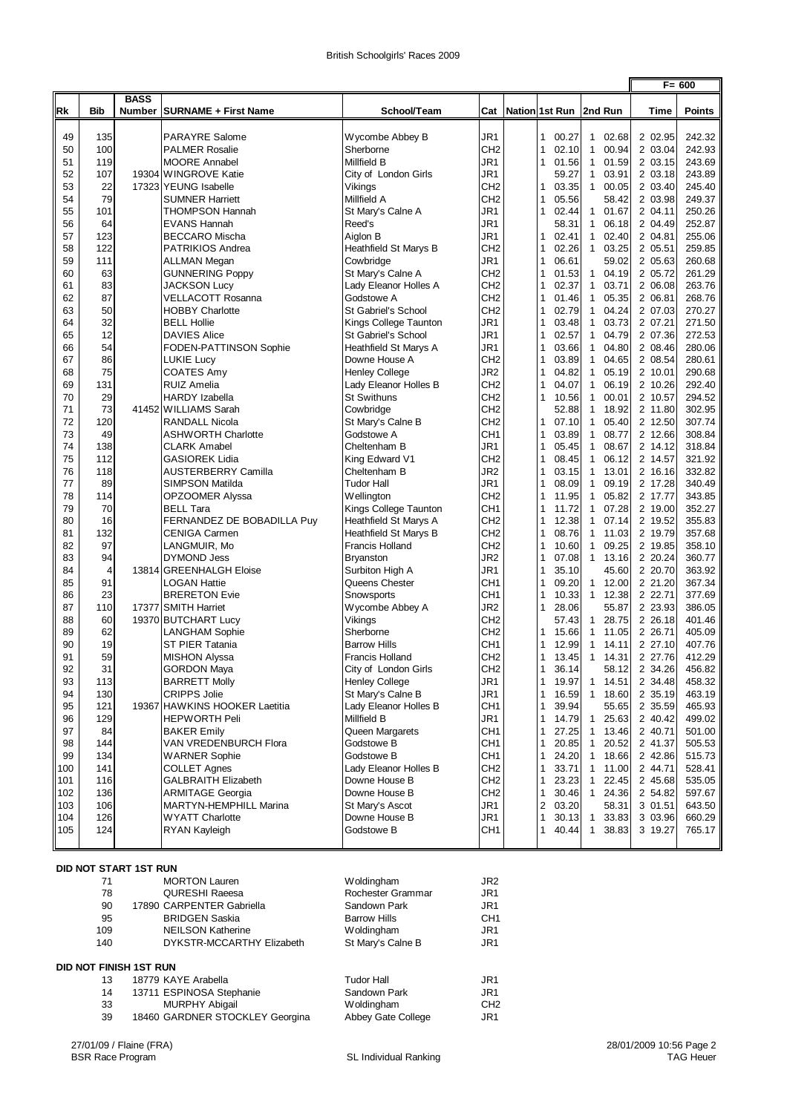|            |                |             |                                                  |                                  |                                    |  |                                                |                                       | $F = 600$          |                  |
|------------|----------------|-------------|--------------------------------------------------|----------------------------------|------------------------------------|--|------------------------------------------------|---------------------------------------|--------------------|------------------|
|            |                | <b>BASS</b> |                                                  |                                  |                                    |  |                                                |                                       |                    |                  |
| Rk         | <b>Bib</b>     |             | Number   SURNAME + First Name                    | School/Team                      | Cat                                |  |                                                | Nation 1st Run   2nd Run              | Time               | <b>Points</b>    |
|            |                |             |                                                  |                                  |                                    |  |                                                |                                       |                    |                  |
| 49         | 135            |             | <b>PARAYRE Salome</b>                            | Wycombe Abbey B                  | JR1                                |  | $\mathbf{1}$<br>00.27                          | 1 02.68                               | 2 02.95            | 242.32           |
| 50         | 100            |             | <b>PALMER Rosalie</b>                            | Sherborne                        | CH <sub>2</sub>                    |  | $\mathbf{1}$<br>02.10                          | $\mathbf{1}$<br>00.94                 | 2 03.04            | 242.93           |
| 51         | 119            |             | <b>MOORE Annabel</b>                             | Millfield B                      | JR <sub>1</sub>                    |  | $\mathbf{1}$<br>01.56                          | 01.59<br>$\mathbf{1}$                 | 2 03.15            | 243.69           |
| 52<br>53   | 107<br>22      |             | 19304 WINGROVE Katie                             | City of London Girls             | JR1<br>CH <sub>2</sub>             |  | 59.27                                          | $\mathbf{1}$<br>03.91                 | 2 03.18            | 243.89<br>245.40 |
| 54         | 79             |             | 17323 YEUNG Isabelle<br><b>SUMNER Harriett</b>   | Vikings<br>Millfield A           | CH <sub>2</sub>                    |  | 1<br>03.35<br>$\mathbf{1}$<br>05.56            | $\mathbf{1}$<br>00.05<br>58.42        | 2 03.40<br>2 03.98 | 249.37           |
| 55         | 101            |             | <b>THOMPSON Hannah</b>                           | St Mary's Calne A                | JR1                                |  | $\mathbf{1}$<br>02.44                          | 01.67<br>$\mathbf{1}$                 | 2 04.11            | 250.26           |
| 56         | 64             |             | <b>EVANS Hannah</b>                              | Reed's                           | JR1                                |  | 58.31                                          | $\mathbf{1}$<br>06.18                 | 2 04.49            | 252.87           |
| 57         | 123            |             | <b>BECCARO Mischa</b>                            | Aiglon B                         | JR1                                |  | $\mathbf{1}$<br>02.41                          | $\mathbf{1}$<br>02.40                 | 2 04.81            | 255.06           |
| 58         | 122            |             | PATRIKIOS Andrea                                 | Heathfield St Marys B            | CH <sub>2</sub>                    |  | $\mathbf{1}$<br>02.26                          | $\mathbf{1}$<br>03.25                 | 2 05.51            | 259.85           |
| 59         | 111            |             | <b>ALLMAN Megan</b>                              | Cowbridge                        | JR <sub>1</sub>                    |  | $\mathbf{1}$<br>06.61                          | 59.02                                 | 2 05.63            | 260.68           |
| 60         | 63             |             | <b>GUNNERING Poppy</b>                           | St Mary's Calne A                | CH <sub>2</sub>                    |  | $\mathbf{1}$<br>01.53                          | $\mathbf{1}$<br>04.19                 | 2 05.72            | 261.29           |
| 61         | 83             |             | <b>JACKSON Lucy</b>                              | Lady Eleanor Holles A            | CH <sub>2</sub>                    |  | 02.37<br>1                                     | $\mathbf{1}$<br>03.71                 | 2 06.08            | 263.76           |
| 62         | 87             |             | <b>VELLACOTT Rosanna</b>                         | Godstowe A                       | CH <sub>2</sub>                    |  | $\mathbf{1}$<br>01.46                          | $\mathbf{1}$<br>05.35                 | 2 06.81            | 268.76           |
| 63         | 50             |             | <b>HOBBY Charlotte</b>                           | St Gabriel's School              | CH <sub>2</sub>                    |  | $\mathbf{1}$<br>02.79                          | $\mathbf{1}$<br>04.24                 | 2 07.03            | 270.27           |
| 64         | 32             |             | <b>BELL Hollie</b>                               | Kings College Taunton            | JR1                                |  | $\mathbf{1}$<br>03.48                          | $\mathbf{1}$<br>03.73                 | 2 07.21            | 271.50           |
| 65         | 12             |             | <b>DAVIES Alice</b>                              | St Gabriel's School              | JR1                                |  | $\mathbf{1}$<br>02.57                          | $\mathbf{1}$<br>04.79                 | 2 07.36            | 272.53           |
| 66         | 54             |             | FODEN-PATTINSON Sophie                           | Heathfield St Marys A            | JR1                                |  | 1<br>03.66                                     | $\mathbf{1}$<br>04.80                 | 2 08.46            | 280.06           |
| 67         | 86             |             | <b>LUKIE Lucy</b>                                | Downe House A                    | CH <sub>2</sub>                    |  | $\mathbf{1}$<br>03.89                          | 04.65<br>$\mathbf{1}$                 | 2 08.54            | 280.61           |
| 68         | 75             |             | <b>COATES Amy</b>                                | <b>Henley College</b>            | JR <sub>2</sub>                    |  | 04.82<br>$\mathbf{1}$                          | 05.19<br>$\mathbf{1}$                 | 2 10.01            | 290.68           |
| 69         | 131            |             | <b>RUIZ Amelia</b>                               | Lady Eleanor Holles B            | CH <sub>2</sub>                    |  | $\mathbf{1}$<br>04.07                          | 06.19<br>$\mathbf{1}$                 | 2 10.26            | 292.40           |
| 70         | 29             |             | <b>HARDY</b> Izabella                            | <b>St Swithuns</b>               | CH <sub>2</sub>                    |  | 1<br>10.56                                     | $\mathbf{1}$<br>00.01                 | 2 10.57            | 294.52           |
| 71         | 73             |             | 41452 WILLIAMS Sarah                             | Cowbridge                        | CH <sub>2</sub>                    |  | 52.88                                          | $\mathbf{1}$<br>18.92                 | 2 11.80            | 302.95           |
| 72         | 120            |             | <b>RANDALL Nicola</b>                            | St Mary's Calne B                | CH <sub>2</sub>                    |  | 07.10<br>1                                     | $\mathbf{1}$<br>05.40                 | 2 12.50            | 307.74           |
| 73<br>74   | 49<br>138      |             | <b>ASHWORTH Charlotte</b><br><b>CLARK Amabel</b> | Godstowe A                       | CH <sub>1</sub><br>JR1             |  | $\mathbf{1}$<br>03.89<br>$\mathbf{1}$          | $\mathbf{1}$<br>08.77<br>$\mathbf{1}$ | 2 12.66<br>2 14.12 | 308.84<br>318.84 |
| 75         | 112            |             | <b>GASIOREK Lidia</b>                            | Cheltenham B<br>King Edward V1   | CH <sub>2</sub>                    |  | 05.45<br>1<br>08.45                            | 08.67<br>$\mathbf{1}$<br>06.12        | 2 14.57            | 321.92           |
| 76         | 118            |             | <b>AUSTERBERRY Camilla</b>                       | Cheltenham B                     | JR <sub>2</sub>                    |  | $\mathbf{1}$<br>03.15                          | 13.01<br>1                            | 2 16.16            | 332.82           |
| 77         | 89             |             | SIMPSON Matilda                                  | Tudor Hall                       | JR1                                |  | 08.09<br>$\mathbf{1}$                          | 09.19<br>$\mathbf{1}$                 | 2 17.28            | 340.49           |
| 78         | 114            |             | OPZOOMER Alyssa                                  | Wellington                       | CH <sub>2</sub>                    |  | $\mathbf{1}$<br>11.95                          | 05.82<br>$\mathbf{1}$                 | 2 17.77            | 343.85           |
| 79         | 70             |             | <b>BELL Tara</b>                                 | Kings College Taunton            | CH <sub>1</sub>                    |  | $\mathbf{1}$<br>11.72                          | $\mathbf{1}$<br>07.28                 | 2 19.00            | 352.27           |
| 80         | 16             |             | FERNANDEZ DE BOBADILLA Puy                       | Heathfield St Marys A            | CH <sub>2</sub>                    |  | $\mathbf{1}$<br>12.38                          | $\mathbf{1}$<br>07.14                 | 2 19.52            | 355.83           |
| 81         | 132            |             | <b>CENIGA Carmen</b>                             | Heathfield St Marys B            | CH <sub>2</sub>                    |  | $\mathbf{1}$<br>08.76                          | $\mathbf{1}$<br>11.03                 | 2 19.79            | 357.68           |
| 82         | 97             |             | LANGMUIR, Mo                                     | <b>Francis Holland</b>           | CH <sub>2</sub>                    |  | 1<br>10.60                                     | $\mathbf{1}$<br>09.25                 | 2 19.85            | 358.10           |
| 83         | 94             |             | <b>DYMOND Jess</b>                               | <b>Bryanston</b>                 | JR <sub>2</sub>                    |  | $\mathbf{1}$<br>07.08                          | $\mathbf{1}$<br>13.16                 | 2 20.24            | 360.77           |
| 84         | $\overline{4}$ |             | 13814 GREENHALGH Eloise                          | Surbiton High A                  | JR <sub>1</sub>                    |  | 1<br>35.10                                     | 45.60                                 | 2 20.70            | 363.92           |
| 85         | 91             |             | <b>LOGAN Hattie</b>                              | Queens Chester                   | CH <sub>1</sub>                    |  | $\mathbf{1}$<br>09.20                          | 12.00<br>$\mathbf{1}$                 | 2 21.20            | 367.34           |
| 86         | 23<br>110      |             | <b>BRERETON Evie</b><br>17377 SMITH Harriet      | Snowsports<br>Wycombe Abbey A    | CH <sub>1</sub><br>JR <sub>2</sub> |  | 10.33<br>$\mathbf{1}$<br>$\mathbf{1}$<br>28.06 | 12.38<br>$\mathbf{1}$                 | 2 22.71<br>2 23.93 | 377.69<br>386.05 |
| 87<br>88   | 60             |             |                                                  |                                  | CH <sub>2</sub>                    |  | 57.43                                          | 55.87<br>28.75<br>$\mathbf{1}$        | 2 26.18            | 401.46           |
| 89         | 62             |             | 19370 BUTCHART Lucy<br><b>LANGHAM Sophie</b>     | Vikings<br>Sherborne             | CH <sub>2</sub>                    |  | 1<br>15.66                                     | 1<br>11.05                            | 2 26.71            | 405.09           |
| 90         | 19             |             | ST PIER Tatania                                  | <b>Barrow Hills</b>              | CH <sub>1</sub>                    |  | $\mathbf{1}$<br>12.99                          | $\mathbf{1}$<br>14.11                 | 2 27.10            | 407.76           |
| 91         | 59             |             | <b>MISHON Alyssa</b>                             | <b>Francis Holland</b>           | CH <sub>2</sub>                    |  | $\mathbf{1}$<br>13.45                          | 1 14.31                               | 2 27.76            | 412.29           |
| 92         | 31             |             | <b>GORDON Maya</b>                               | City of London Girls             | CH <sub>2</sub>                    |  | $\mathbf{1}$<br>36.14                          | 58.12                                 | 2 34.26            | 456.82           |
| 93         | 113            |             | <b>BARRETT Molly</b>                             | Henley College                   | JR1                                |  | 19.97<br>1                                     | 14.51<br>1                            | 2 34.48            | 458.32           |
| 94         | 130            |             | <b>CRIPPS Jolie</b>                              | St Mary's Calne B                | JR <sub>1</sub>                    |  | $\mathbf{1}$<br>16.59                          | $\mathbf{1}$<br>18.60                 | 2 35.19            | 463.19           |
| 95         | 121            |             | 19367 HAWKINS HOOKER Laetitia                    | Lady Eleanor Holles B            | CH <sub>1</sub>                    |  | 1<br>39.94                                     | 55.65                                 | 2 35.59            | 465.93           |
| 96         | 129            |             | <b>HEPWORTH Peli</b>                             | Millfield B                      | JR1                                |  | $\mathbf{1}$<br>14.79                          | 25.63<br>$\mathbf{1}$                 | 2 40.42            | 499.02           |
| 97         | 84             |             | <b>BAKER Emily</b>                               | Queen Margarets                  | CH1                                |  | 1<br>27.25                                     | 13.46<br>$\mathbf{1}$                 | 2 40.71            | 501.00           |
| 98         | 144            |             | VAN VREDENBURCH Flora                            | Godstowe B                       | CH <sub>1</sub>                    |  | 1<br>20.85                                     | $\mathbf{1}$<br>20.52                 | 2 41.37            | 505.53           |
| 99         | 134            |             | <b>WARNER Sophie</b>                             | Godstowe B                       | CH <sub>1</sub>                    |  | 1<br>24.20                                     | 18.66<br>$\mathbf{1}$                 | 2 42.86            | 515.73           |
| 100        | 141            |             | <b>COLLET Agnes</b>                              | Lady Eleanor Holles B            | CH <sub>2</sub>                    |  | 33.71<br>1                                     | 1<br>11.00                            | 2 44.71            | 528.41           |
| 101        | 116            |             | <b>GALBRAITH Elizabeth</b>                       | Downe House B                    | CH <sub>2</sub>                    |  | 23.23<br>1                                     | 22.45<br>1                            | 2 45.68            | 535.05           |
| 102        | 136            |             | <b>ARMITAGE Georgia</b>                          | Downe House B                    | CH <sub>2</sub>                    |  | 1<br>30.46<br>$\overline{c}$                   | $\mathbf{1}$<br>24.36                 | 2 54.82            | 597.67<br>643.50 |
| 103<br>104 | 106<br>126     |             | MARTYN-HEMPHILL Marina<br><b>WYATT Charlotte</b> | St Mary's Ascot<br>Downe House B | JR1<br>JR1                         |  | 03.20<br>$\mathbf{1}$<br>30.13                 | 58.31<br>33.83<br>$\mathbf{1}$        | 3 01.51<br>3 03.96 | 660.29           |
| 105        | 124            |             | RYAN Kayleigh                                    | Godstowe B                       | CH <sub>1</sub>                    |  | 1<br>40.44                                     | $\mathbf{1}$<br>38.83                 | 3 19.27            | 765.17           |
|            |                |             |                                                  |                                  |                                    |  |                                                |                                       |                    |                  |
|            |                |             |                                                  |                                  |                                    |  |                                                |                                       |                    |                  |

|  |  | DID NOT START 1ST RUN |  |  |
|--|--|-----------------------|--|--|
|--|--|-----------------------|--|--|

| 71                     | <b>MORTON Lauren</b>            | Woldingham          | JR <sub>2</sub> |
|------------------------|---------------------------------|---------------------|-----------------|
| 78                     | <b>QURESHI Raeesa</b>           | Rochester Grammar   | JR <sub>1</sub> |
| 90                     | 17890 CARPENTER Gabriella       | Sandown Park        | JR <sub>1</sub> |
| 95                     | <b>BRIDGEN Saskia</b>           | <b>Barrow Hills</b> | CH <sub>1</sub> |
| 109                    | <b>NEILSON Katherine</b>        | Woldingham          | JR <sub>1</sub> |
| 140                    | DYKSTR-MCCARTHY Elizabeth       | St Mary's Calne B   | JR <sub>1</sub> |
| DID NOT FINISH 1ST RUN |                                 |                     |                 |
| 13                     | 18779 KAYE Arabella             | <b>Tudor Hall</b>   | JR <sub>1</sub> |
| 14                     | 13711 ESPINOSA Stephanie        | Sandown Park        | JR1             |
| 33                     | <b>MURPHY Abigail</b>           | Woldingham          | CH <sub>2</sub> |
| 39                     | 18460 GARDNER STOCKLEY Georgina | Abbey Gate College  | JR1             |